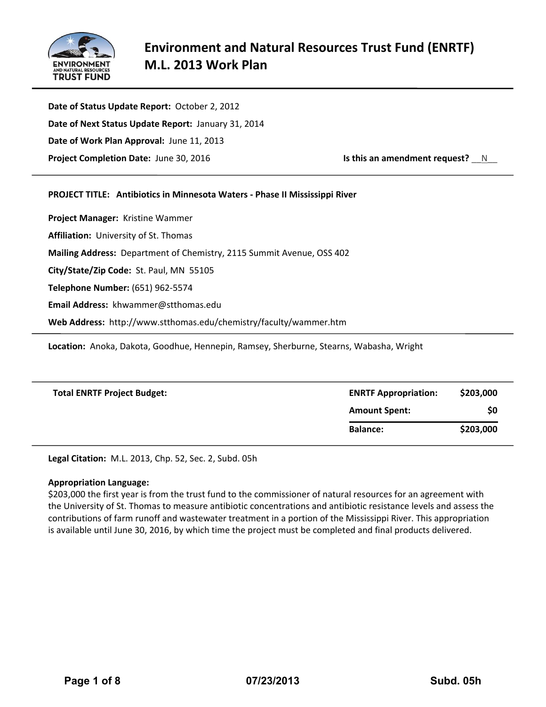

**Date of Status Update Report:** October 2, 2012 **Date of Next Status Update Report:** January 31, 2014 **Date of Work Plan Approval:** June 11, 2013 **Project Completion Date:** June 30, 2016 **ISS 1989 IS this an amendment request?** N

# **PROJECT TITLE: Antibiotics in Minnesota Waters - Phase II Mississippi River**

**Project Manager:** Kristine Wammer **Affiliation:** University of St. Thomas **Mailing Address:** Department of Chemistry, 2115 Summit Avenue, OSS 402 **City/State/Zip Code:** St. Paul, MN 55105 **Telephone Number:** (651) 962-5574 **Email Address:** khwammer@stthomas.edu **Web Address:** http://www.stthomas.edu/chemistry/faculty/wammer.htm

**Location:** Anoka, Dakota, Goodhue, Hennepin, Ramsey, Sherburne, Stearns, Wabasha, Wright

| <b>Total ENRTF Project Budget:</b> | <b>ENRTF Appropriation:</b> | \$203,000 |
|------------------------------------|-----------------------------|-----------|
|                                    | <b>Amount Spent:</b>        | \$0       |
|                                    | <b>Balance:</b>             | \$203,000 |

**Legal Citation:** M.L. 2013, Chp. 52, Sec. 2, Subd. 05h

### **Appropriation Language:**

\$203,000 the first year is from the trust fund to the commissioner of natural resources for an agreement with the University of St. Thomas to measure antibiotic concentrations and antibiotic resistance levels and assess the contributions of farm runoff and wastewater treatment in a portion of the Mississippi River. This appropriation is available until June 30, 2016, by which time the project must be completed and final products delivered.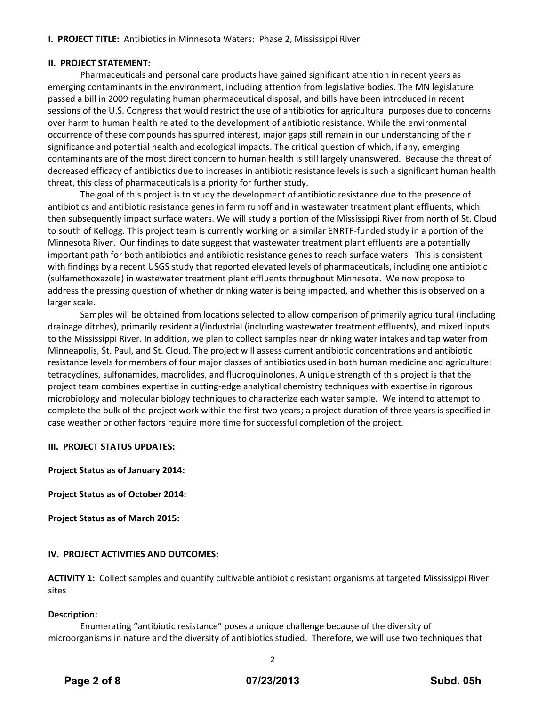# **I. PROJECT TITLE:** Antibiotics in Minnesota Waters: Phase 2, Mississippi River

### **II. PROJECT STATEMENT:**

Pharmaceuticals and personal care products have gained significant attention in recent years as emerging contaminants in the environment, including attention from legislative bodies. The MN legislature passed a bill in 2009 regulating human pharmaceutical disposal, and bills have been introduced in recent sessions of the U.S. Congress that would restrict the use of antibiotics for agricultural purposes due to concerns over harm to human health related to the development of antibiotic resistance. While the environmental occurrence of these compounds has spurred interest, major gaps still remain in our understanding of their significance and potential health and ecological impacts. The critical question of which, if any, emerging contaminants are of the most direct concern to human health is still largely unanswered. Because the threat of decreased efficacy of antibiotics due to increases in antibiotic resistance levels is such a significant human health threat, this class of pharmaceuticals is a priority for further study.

The goal of this project is to study the development of antibiotic resistance due to the presence of antibiotics and antibiotic resistance genes in farm runoff and in wastewater treatment plant effluents, which then subsequently impact surface waters. We will study a portion of the Mississippi River from north of St. Cloud to south of Kellogg. This project team is currently working on a similar ENRTF-funded study in a portion of the Minnesota River. Our findings to date suggest that wastewater treatment plant effluents are a potentially important path for both antibiotics and antibiotic resistance genes to reach surface waters. This is consistent with findings by a recent USGS study that reported elevated levels of pharmaceuticals, including one antibiotic (sulfamethoxazole) in wastewater treatment plant effluents throughout Minnesota. We now propose to address the pressing question of whether drinking water is being impacted, and whether this is observed on a larger scale.

Samples will be obtained from locations selected to allow comparison of primarily agricultural (including drainage ditches), primarily residential/industrial (including wastewater treatment effluents), and mixed inputs to the Mississippi River. In addition, we plan to collect samples near drinking water intakes and tap water from Minneapolis, St. Paul, and St. Cloud. The project will assess current antibiotic concentrations and antibiotic resistance levels for members of four major classes of antibiotics used in both human medicine and agriculture: tetracyclines, sulfonamides, macrolides, and fluoroquinolones. A unique strength of this project is that the project team combines expertise in cutting-edge analytical chemistry techniques with expertise in rigorous microbiology and molecular biology techniques to characterize each water sample. We intend to attempt to complete the bulk of the project work within the first two years; a project duration of three years is specified in case weather or other factors require more time for successful completion of the project.

### **III. PROJECT STATUS UPDATES:**

**Project Status as of January 2014:**

**Project Status as of October 2014:**

**Project Status as of March 2015:**

### **IV. PROJECT ACTIVITIES AND OUTCOMES:**

**ACTIVITY 1:** Collect samples and quantify cultivable antibiotic resistant organisms at targeted Mississippi River sites

### **Description:**

Enumerating "antibiotic resistance" poses a unique challenge because of the diversity of microorganisms in nature and the diversity of antibiotics studied. Therefore, we will use two techniques that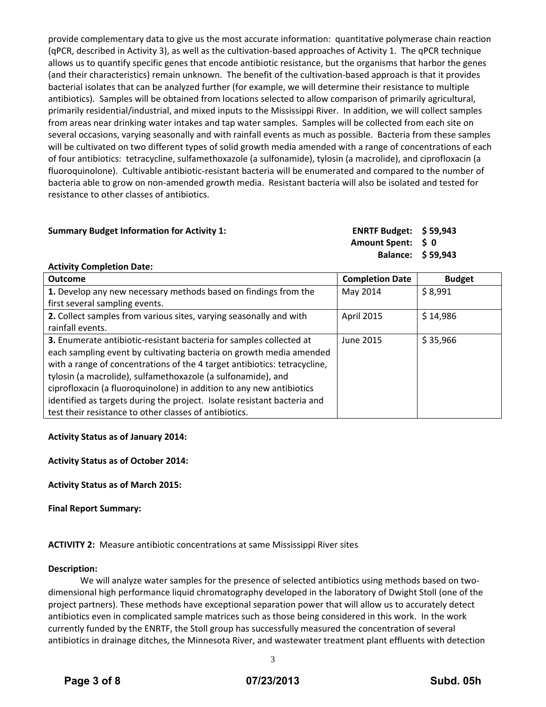provide complementary data to give us the most accurate information: quantitative polymerase chain reaction (qPCR, described in Activity 3), as well as the cultivation-based approaches of Activity 1. The qPCR technique allows us to quantify specific genes that encode antibiotic resistance, but the organisms that harbor the genes (and their characteristics) remain unknown. The benefit of the cultivation-based approach is that it provides bacterial isolates that can be analyzed further (for example, we will determine their resistance to multiple antibiotics). Samples will be obtained from locations selected to allow comparison of primarily agricultural, primarily residential/industrial, and mixed inputs to the Mississippi River. In addition, we will collect samples from areas near drinking water intakes and tap water samples. Samples will be collected from each site on several occasions, varying seasonally and with rainfall events as much as possible. Bacteria from these samples will be cultivated on two different types of solid growth media amended with a range of concentrations of each of four antibiotics: tetracycline, sulfamethoxazole (a sulfonamide), tylosin (a macrolide), and ciprofloxacin (a fluoroquinolone). Cultivable antibiotic-resistant bacteria will be enumerated and compared to the number of bacteria able to grow on non-amended growth media. Resistant bacteria will also be isolated and tested for resistance to other classes of antibiotics.

### **Summary Budget Information for Activity 1: ENRTF Budget: \$ 59,943**

**Amount Spent: \$ 0 Balance: \$ 59,943**

### **Activity Completion Date:**

| <b>Outcome</b>                                                            | <b>Completion Date</b> | <b>Budget</b> |
|---------------------------------------------------------------------------|------------------------|---------------|
| 1. Develop any new necessary methods based on findings from the           | May 2014               | \$8,991       |
| first several sampling events.                                            |                        |               |
| 2. Collect samples from various sites, varying seasonally and with        | April 2015             | \$14,986      |
| rainfall events.                                                          |                        |               |
| 3. Enumerate antibiotic-resistant bacteria for samples collected at       | June 2015              | \$35,966      |
| each sampling event by cultivating bacteria on growth media amended       |                        |               |
| with a range of concentrations of the 4 target antibiotics: tetracycline, |                        |               |
| tylosin (a macrolide), sulfamethoxazole (a sulfonamide), and              |                        |               |
| ciprofloxacin (a fluoroquinolone) in addition to any new antibiotics      |                        |               |
| identified as targets during the project. Isolate resistant bacteria and  |                        |               |
| test their resistance to other classes of antibiotics.                    |                        |               |

# **Activity Status as of January 2014:**

**Activity Status as of October 2014:** 

**Activity Status as of March 2015:**

**Final Report Summary:**

**ACTIVITY 2:** Measure antibiotic concentrations at same Mississippi River sites

### **Description:**

We will analyze water samples for the presence of selected antibiotics using methods based on twodimensional high performance liquid chromatography developed in the laboratory of Dwight Stoll (one of the project partners). These methods have exceptional separation power that will allow us to accurately detect antibiotics even in complicated sample matrices such as those being considered in this work. In the work currently funded by the ENRTF, the Stoll group has successfully measured the concentration of several antibiotics in drainage ditches, the Minnesota River, and wastewater treatment plant effluents with detection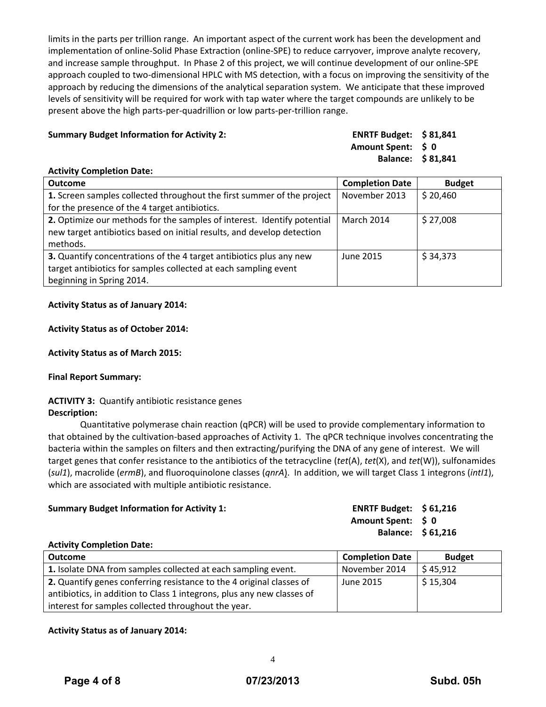limits in the parts per trillion range. An important aspect of the current work has been the development and implementation of online-Solid Phase Extraction (online-SPE) to reduce carryover, improve analyte recovery, and increase sample throughput. In Phase 2 of this project, we will continue development of our online-SPE approach coupled to two-dimensional HPLC with MS detection, with a focus on improving the sensitivity of the approach by reducing the dimensions of the analytical separation system. We anticipate that these improved levels of sensitivity will be required for work with tap water where the target compounds are unlikely to be present above the high parts-per-quadrillion or low parts-per-trillion range.

# **Summary Budget Information for Activity 2: ENRTF Budget: \$ 81,841**

**Amount Spent: \$ 0 Balance: \$ 81,841**

### **Activity Completion Date:**

| <b>Outcome</b>                                                                                                                                                      | <b>Completion Date</b> | <b>Budget</b> |
|---------------------------------------------------------------------------------------------------------------------------------------------------------------------|------------------------|---------------|
| 1. Screen samples collected throughout the first summer of the project                                                                                              | November 2013          | \$20,460      |
| for the presence of the 4 target antibiotics.                                                                                                                       |                        |               |
| 2. Optimize our methods for the samples of interest. Identify potential<br>new target antibiotics based on initial results, and develop detection<br>methods.       | <b>March 2014</b>      | \$27,008      |
| 3. Quantify concentrations of the 4 target antibiotics plus any new<br>target antibiotics for samples collected at each sampling event<br>beginning in Spring 2014. | June 2015              | \$34,373      |

### **Activity Status as of January 2014:**

### **Activity Status as of October 2014:**

**Activity Status as of March 2015:**

### **Final Report Summary:**

# **ACTIVITY 3:** Quantify antibiotic resistance genes

### **Description:**

Quantitative polymerase chain reaction (qPCR) will be used to provide complementary information to that obtained by the cultivation-based approaches of Activity 1. The qPCR technique involves concentrating the bacteria within the samples on filters and then extracting/purifying the DNA of any gene of interest. We will target genes that confer resistance to the antibiotics of the tetracycline (*tet*(A), *tet*(X), and *tet*(W)), sulfonamides (*sul1*), macrolide (*ermB*), and fluoroquinolone classes (*qnrA*). In addition, we will target Class 1 integrons (*intI1*), which are associated with multiple antibiotic resistance.

# **Summary Budget Information for Activity 1: ENRTF Budget: \$ 61,216 Amount Spent: \$ 0 Balance: \$ 61,216**

### **Activity Completion Date:**

| <b>Outcome</b>                                                         | <b>Completion Date</b> | <b>Budget</b> |
|------------------------------------------------------------------------|------------------------|---------------|
| 1. Isolate DNA from samples collected at each sampling event.          | November 2014          | \$45,912      |
| 2. Quantify genes conferring resistance to the 4 original classes of   | June 2015              | \$15,304      |
| antibiotics, in addition to Class 1 integrons, plus any new classes of |                        |               |
| interest for samples collected throughout the year.                    |                        |               |

# **Activity Status as of January 2014:**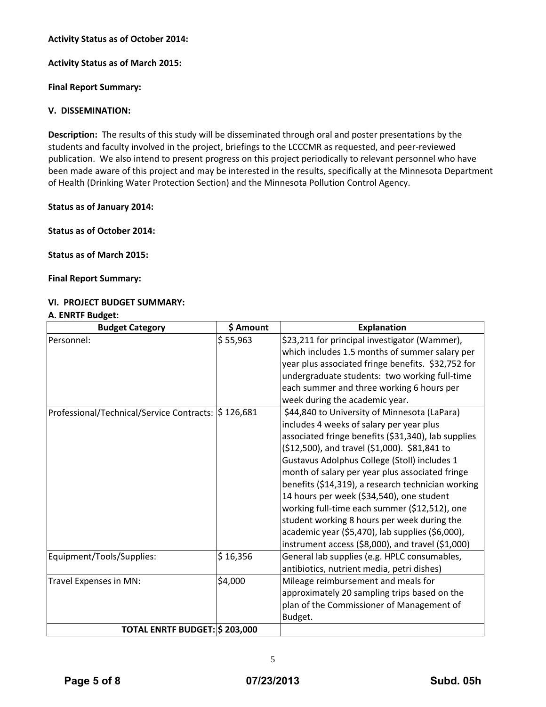# **Activity Status as of October 2014:**

**Activity Status as of March 2015:**

**Final Report Summary:**

### **V. DISSEMINATION:**

**Description:** The results of this study will be disseminated through oral and poster presentations by the students and faculty involved in the project, briefings to the LCCCMR as requested, and peer-reviewed publication. We also intend to present progress on this project periodically to relevant personnel who have been made aware of this project and may be interested in the results, specifically at the Minnesota Department of Health (Drinking Water Protection Section) and the Minnesota Pollution Control Agency.

**Status as of January 2014:**

**Status as of October 2014:** 

**Status as of March 2015:**

**Final Report Summary:**

# **VI. PROJECT BUDGET SUMMARY:**

### **A. ENRTF Budget:**

| <b>Budget Category</b>                              | \$ Amount | <b>Explanation</b>                                                                                                                                                                                                                                                                                                                                                                                                                                                                                                                                                                                              |
|-----------------------------------------------------|-----------|-----------------------------------------------------------------------------------------------------------------------------------------------------------------------------------------------------------------------------------------------------------------------------------------------------------------------------------------------------------------------------------------------------------------------------------------------------------------------------------------------------------------------------------------------------------------------------------------------------------------|
| Personnel:                                          | \$55,963  | \$23,211 for principal investigator (Wammer),<br>which includes 1.5 months of summer salary per<br>year plus associated fringe benefits. \$32,752 for<br>undergraduate students: two working full-time<br>each summer and three working 6 hours per<br>week during the academic year.                                                                                                                                                                                                                                                                                                                           |
| Professional/Technical/Service Contracts: S 126,681 |           | \$44,840 to University of Minnesota (LaPara)<br>includes 4 weeks of salary per year plus<br>associated fringe benefits (\$31,340), lab supplies<br>(\$12,500), and travel (\$1,000). \$81,841 to<br>Gustavus Adolphus College (Stoll) includes 1<br>month of salary per year plus associated fringe<br>benefits (\$14,319), a research technician working<br>14 hours per week (\$34,540), one student<br>working full-time each summer (\$12,512), one<br>student working 8 hours per week during the<br>academic year (\$5,470), lab supplies (\$6,000),<br>instrument access (\$8,000), and travel (\$1,000) |
| Equipment/Tools/Supplies:                           | \$16,356  | General lab supplies (e.g. HPLC consumables,<br>antibiotics, nutrient media, petri dishes)                                                                                                                                                                                                                                                                                                                                                                                                                                                                                                                      |
| Travel Expenses in MN:                              | \$4,000   | Mileage reimbursement and meals for<br>approximately 20 sampling trips based on the<br>plan of the Commissioner of Management of<br>Budget.                                                                                                                                                                                                                                                                                                                                                                                                                                                                     |
| TOTAL ENRTF BUDGET: \$203,000                       |           |                                                                                                                                                                                                                                                                                                                                                                                                                                                                                                                                                                                                                 |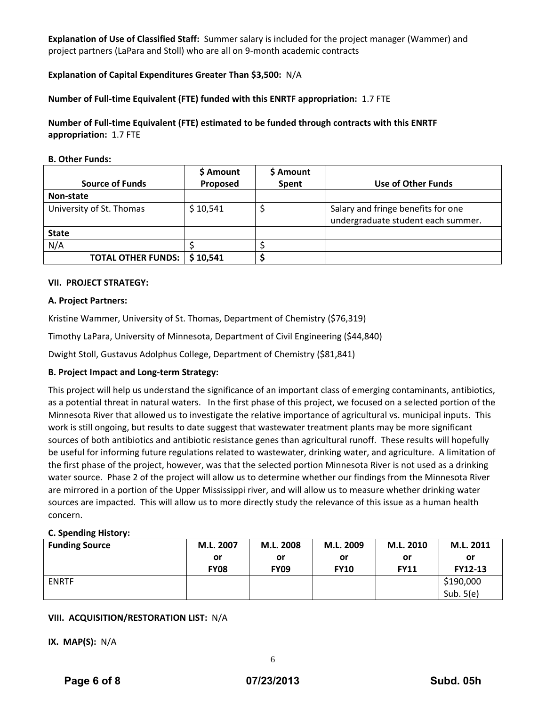**Explanation of Use of Classified Staff:** Summer salary is included for the project manager (Wammer) and project partners (LaPara and Stoll) who are all on 9-month academic contracts

# **Explanation of Capital Expenditures Greater Than \$3,500:** N/A

### **Number of Full-time Equivalent (FTE) funded with this ENRTF appropriation:** 1.7 FTE

**Number of Full-time Equivalent (FTE) estimated to be funded through contracts with this ENRTF appropriation:** 1.7 FTE

#### **B. Other Funds:**

|                           | \$ Amount | \$ Amount |                                                                          |
|---------------------------|-----------|-----------|--------------------------------------------------------------------------|
| <b>Source of Funds</b>    | Proposed  | Spent     | <b>Use of Other Funds</b>                                                |
| Non-state                 |           |           |                                                                          |
| University of St. Thomas  | \$10,541  |           | Salary and fringe benefits for one<br>undergraduate student each summer. |
| <b>State</b>              |           |           |                                                                          |
| N/A                       |           |           |                                                                          |
| <b>TOTAL OTHER FUNDS:</b> | \$10,541  |           |                                                                          |

#### **VII. PROJECT STRATEGY:**

### **A. Project Partners:**

Kristine Wammer, University of St. Thomas, Department of Chemistry (\$76,319)

Timothy LaPara, University of Minnesota, Department of Civil Engineering (\$44,840)

Dwight Stoll, Gustavus Adolphus College, Department of Chemistry (\$81,841)

### **B. Project Impact and Long-term Strategy:**

This project will help us understand the significance of an important class of emerging contaminants, antibiotics, as a potential threat in natural waters. In the first phase of this project, we focused on a selected portion of the Minnesota River that allowed us to investigate the relative importance of agricultural vs. municipal inputs. This work is still ongoing, but results to date suggest that wastewater treatment plants may be more significant sources of both antibiotics and antibiotic resistance genes than agricultural runoff. These results will hopefully be useful for informing future regulations related to wastewater, drinking water, and agriculture. A limitation of the first phase of the project, however, was that the selected portion Minnesota River is not used as a drinking water source. Phase 2 of the project will allow us to determine whether our findings from the Minnesota River are mirrored in a portion of the Upper Mississippi river, and will allow us to measure whether drinking water sources are impacted. This will allow us to more directly study the relevance of this issue as a human health concern.

### **C. Spending History:**

| <b>Funding Source</b> | M.L. 2007   | M.L. 2008   | M.L. 2009   | M.L. 2010   | M.L. 2011   |
|-----------------------|-------------|-------------|-------------|-------------|-------------|
|                       | or          | or          | or          | or          | or          |
|                       | <b>FY08</b> | <b>FY09</b> | <b>FY10</b> | <b>FY11</b> | FY12-13     |
| <b>ENRTF</b>          |             |             |             |             | \$190,000   |
|                       |             |             |             |             | Sub. $5(e)$ |

### **VIII. ACQUISITION/RESTORATION LIST:** N/A

**IX. MAP(S):** N/A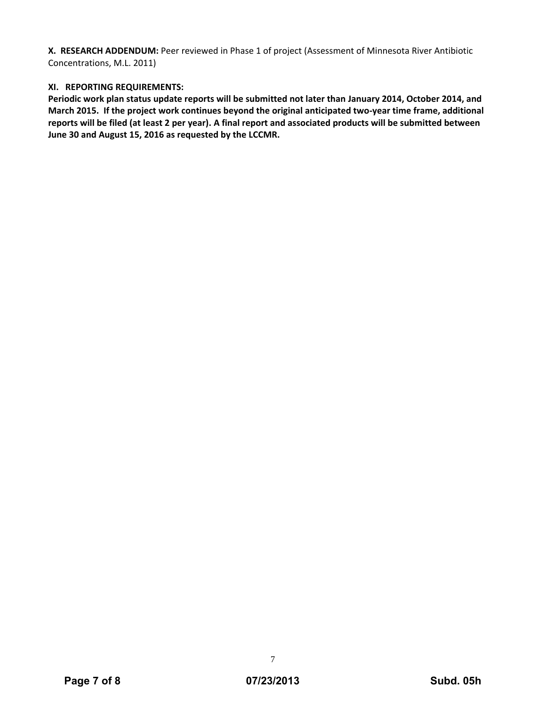**X. RESEARCH ADDENDUM:** Peer reviewed in Phase 1 of project (Assessment of Minnesota River Antibiotic Concentrations, M.L. 2011)

# **XI. REPORTING REQUIREMENTS:**

**Periodic work plan status update reports will be submitted not later than January 2014, October 2014, and March 2015. If the project work continues beyond the original anticipated two-year time frame, additional reports will be filed (at least 2 per year). A final report and associated products will be submitted between June 30 and August 15, 2016 as requested by the LCCMR.** 

7